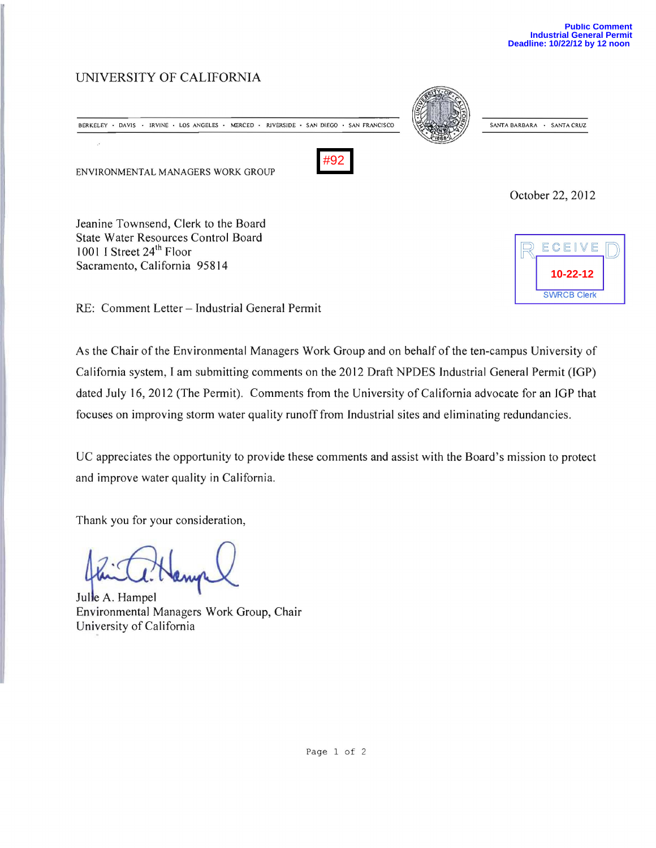## UNIVERSITY OF CALIFORNIA

BERKELEY • DAVIS • IRVINE • LOS ANGELES • MERCED • RIVERSIDE • SAN DIEGO • SAN FRANCISCO (SANTA BARBARA • SANTA CRUZ

ENVIRONMENTAL MANAGERS WORK GROUP



October 22, 2012

Jeanine Townsend, Clerk to the Board State Water Resources Control Board 1001 I Street 24<sup>th</sup> Floor Sacramento, California 95814



RE: Comment Letter - Industrial General Permit

As the Chair of the Environmental Managers Work Group and on behalf of the ten-campus University of California system, I am submitting comments on the 2012 Draft NPDES Industrial General Permit (lGP) dated July 16,2012 (The Permit). Comments from the University of California advocate for an IGP that focuses on improving storm water quality runoff from Industrial sites and eliminating redundancies.

UC appreciates the opportunity to provide these comments and assist with the Board's mission to protect and improve water quality in California.

Thank you for your consideration,

Julie A. Hampel Environmental Managers Work Group, Chair University of California